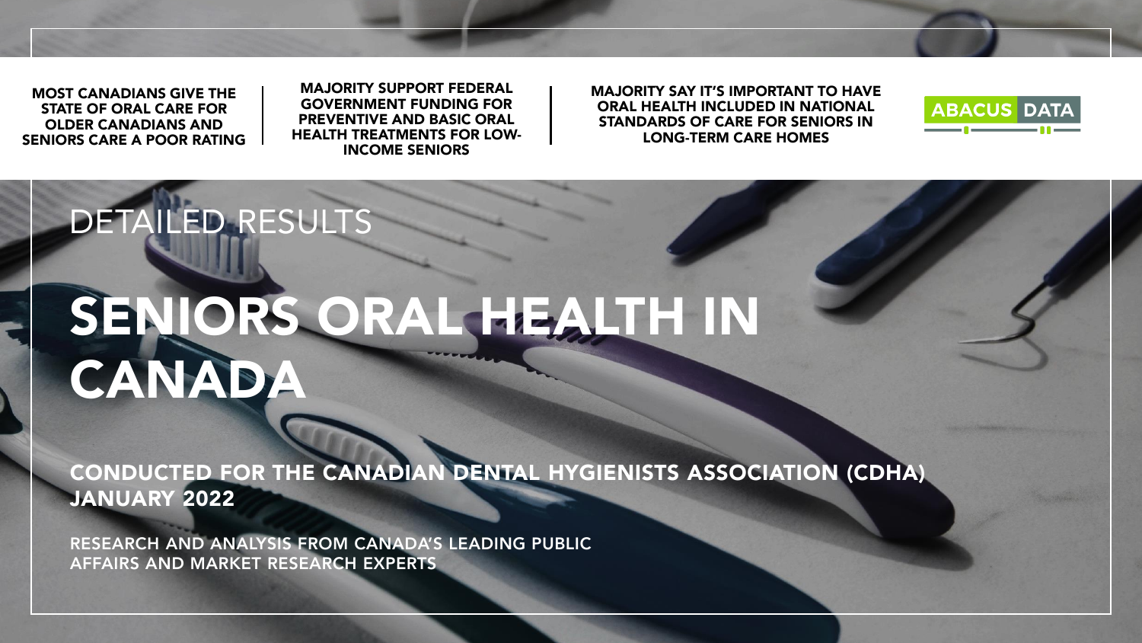MOST CANADIANS GIVE THE STATE OF ORAL CARE FOR OLDER CANADIANS AND SENIORS CARE A POOR RATING

DETAILED RESULTS

MAJORITY SUPPORT FEDERAL GOVERNMENT FUNDING FOR PREVENTIVE AND BASIC ORAL HEALTH TREATMENTS FOR LOW-INCOME SENIORS

MAJORITY SAY IT'S IMPORTANT TO HAVE ORAL HEALTH INCLUDED IN NATIONAL STANDARDS OF CARE FOR SENIORS IN LONG-TERM CARE HOMES



# SENIORS ORAL HEALTH IN **CANADA**

CONDUCTED FOR THE CANADIAN DENTAL HYGIENISTS ASSOCIATION (CDHA) JANUARY 2022

RESEARCH AND ANALYSIS FROM CANADA'S LEADING PUBLIC AFFAIRS AND MARKET RESEARCH EXPERTS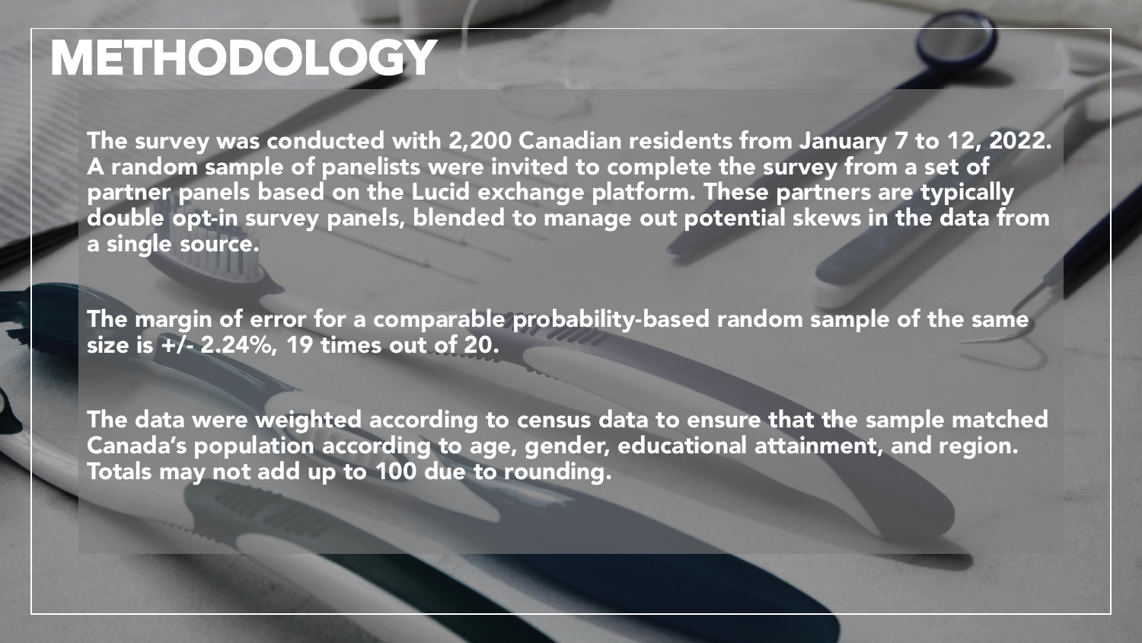## METHODOLOGY

The survey was conducted with 2,200 Canadian residents from January 7 to 12, 2022. A random sample of panelists were invited to complete the survey from a set of partner panels based on the Lucid exchange platform. These partners are typically double opt-in survey panels, blended to manage out potential skews in the data from a single source.

The margin of error for a comparable probability-based random sample of the same size is  $+\sqrt{2}$ . 2.24%, 19 times out of 20.

The data were weighted according to census data to ensure that the sample matched Canada's population according to age, gender, educational attainment, and region. Totals may not add up to 100 due to rounding.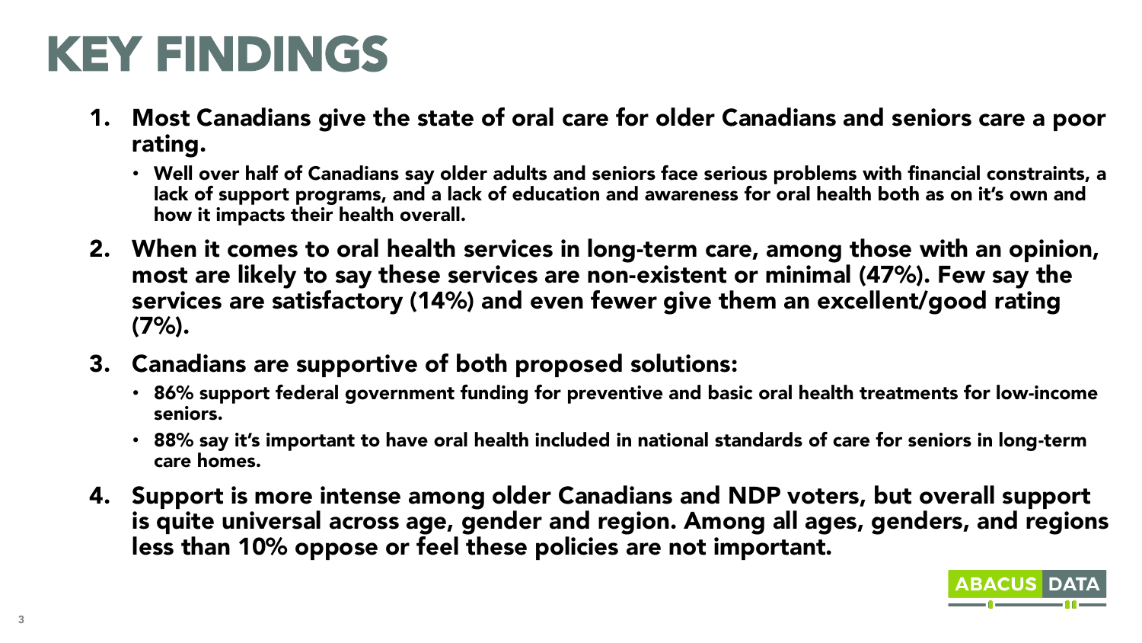## KEY FINDINGS

- 1. Most Canadians give the state of oral care for older Canadians and seniors care a poor rating.
	- Well over half of Canadians say older adults and seniors face serious problems with financial constraints, a lack of support programs, and a lack of education and awareness for oral health both as on it's own and how it impacts their health overall.
- 2. When it comes to oral health services in long-term care, among those with an opinion, most are likely to say these services are non-existent or minimal (47%). Few say the services are satisfactory (14%) and even fewer give them an excellent/good rating  $(7%)$ .
- 3. Canadians are supportive of both proposed solutions:
	- 86% support federal government funding for preventive and basic oral health treatments for low-income seniors.
	- 88% say it's important to have oral health included in national standards of care for seniors in long-term care homes.
- 4. Support is more intense among older Canadians and NDP voters, but overall support is quite universal across age, gender and region. Among all ages, genders, and regions less than 10% oppose or feel these policies are not important.



**ABACUS D**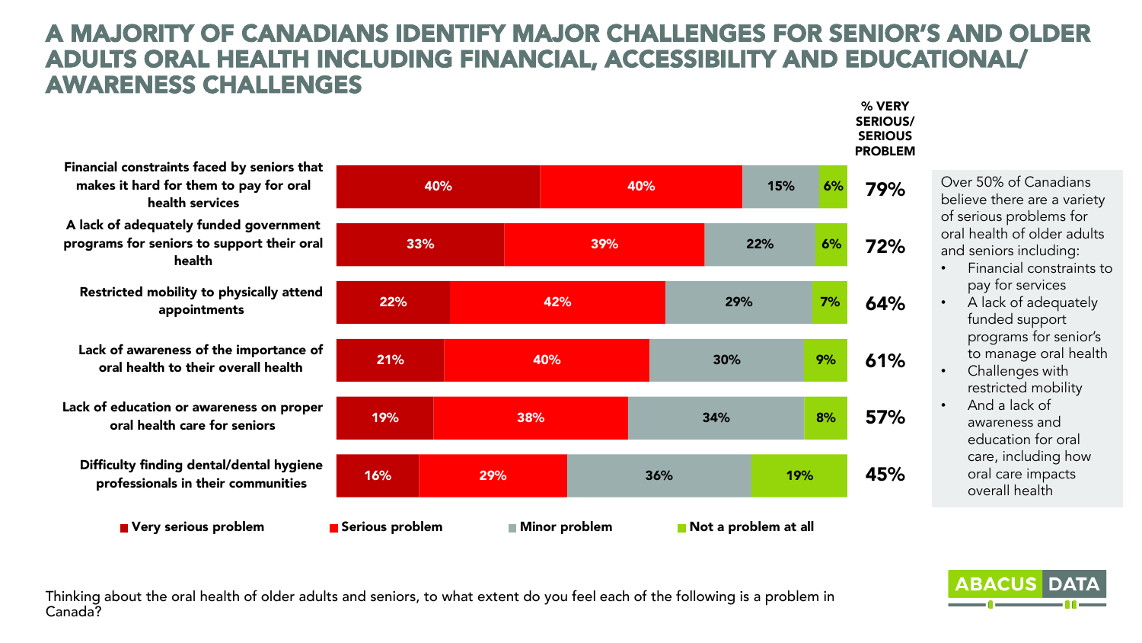#### A MAJORITY OF CANADIANS IDENTIFY MAJOR CHALLENGES FOR SENIOR'S AND OLDER ADULTS ORAL HEALTH INCLUDING FINANCIAL, ACCESSIBILITY AND EDUCATIONAL/ AWARENESS CHALLENGES

40% 33% 22% 21% 19% 16% 40% 39% 42% 40% 38% 29% 15% 22% 29% 30% 34% 36% Financial constraints faced by seniors that makes it hard for them to pay for oral health services A lack of adequately funded government programs for seniors to support their oral health Restricted mobility to physically attend appointments Lack of awareness of the importance of oral health to their overall health Lack of education or awareness on proper oral health care for seniors Difficulty finding dental/dental hygiene professionals in their communities ■ Very serious problem Berious problem Minor problem Not a problem at all

Over 50% of Canadians believe there are a variety of serious problems for oral health of older adults and seniors including:

6%

79%

% VERY SERIOUS/ **SERIOUS** PROBLEM

72%

64%

61%

57%

45%

6%

7%

9%

8%

19%

- Financial constraints to pay for services
- A lack of adequately funded support programs for senior's to manage oral health
- Challenges with restricted mobility
- And a lack of awareness and education for oral care, including how oral care impacts overall health

**ABACUS DA** 

Thinking about the oral health of older adults and seniors, to what extent do you feel each of the following is a problem in Canada?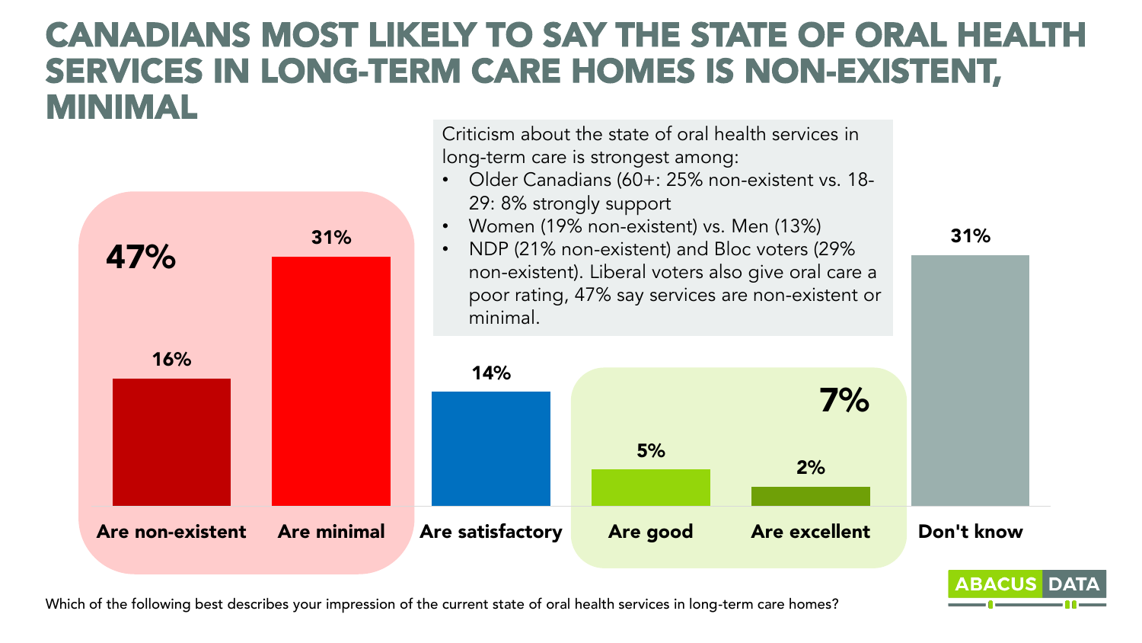### CANADIANS MOST LIKELY TO SAY THE STATE OF ORAL HEALTH SERVICES IN LONG-TERM CARE HOMES IS NON-EXISTENT, MINIMAL

Criticism about the state of oral health services in



Which of the following best describes your impression of the current state of oral health services in long-term care homes?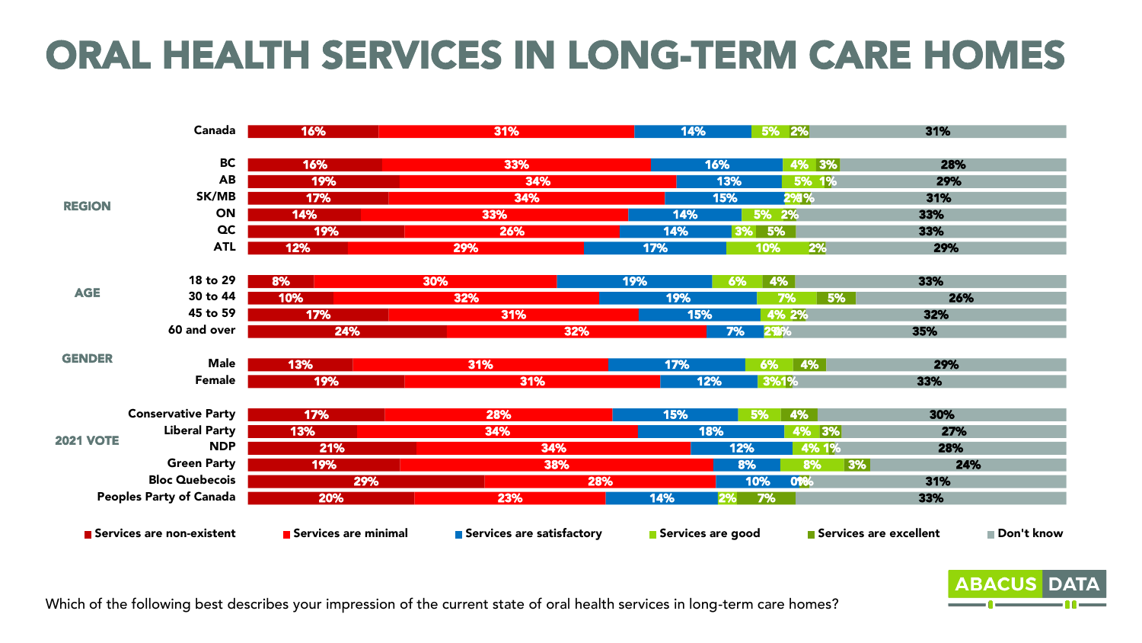### ORAL HEALTH SERVICES IN LONG-TERM CARE HOMES

|                                | Canada                    | 16%                  | 31%                       | 14%               | 5% 2%           | 31%                                  |
|--------------------------------|---------------------------|----------------------|---------------------------|-------------------|-----------------|--------------------------------------|
|                                |                           |                      |                           |                   |                 |                                      |
| <b>REGION</b>                  | BC                        | 16%                  | 33%                       | 16%               | 4% 3%           | 28%                                  |
|                                | <b>AB</b>                 | 19%                  | 34%                       |                   | 5% 1%<br>13%    | 29%                                  |
|                                | SK/MB                     | 17%                  | 34%                       |                   | 15%<br>2%%      | 31%                                  |
|                                | ON                        | 14%                  | 33%                       | 14%               | 5% 2%           | 33%                                  |
|                                | $\alpha$                  | 19%                  | 26%                       | 14%               | 5%<br>3%        | 33%                                  |
|                                | <b>ATL</b>                | 12%                  | 29%                       | 17%               | 2%<br>10%       | 29%                                  |
|                                | 18 to 29                  | 8%                   | 30%                       | 19%               | 6%<br>4%        | 33%                                  |
| <b>AGE</b>                     | 30 to 44                  | 10%                  | 32%                       | 19%               | 7%<br>5%        | 26%                                  |
|                                | 45 to 59                  | 17%                  | 31%                       | 15%               | 4% 2%           | 32%                                  |
|                                | 60 and over               | 24%                  | 32%                       |                   | 293%<br>7%      | 35%                                  |
| <b>GENDER</b>                  |                           |                      |                           |                   |                 |                                      |
|                                | <b>Male</b>               | 13%                  | 31%                       | 17%               | 6%<br>4%        | 29%                                  |
|                                | Female                    | 19%                  | 31%                       | 12%               | 3%1%            | 33%                                  |
|                                | <b>Conservative Party</b> | 17%                  | 28%                       | 15%               | 4%<br><b>5%</b> | 30%                                  |
| <b>2021 VOTE</b>               | <b>Liberal Party</b>      | 13%                  | 34%                       | 18%               | 4% 3%           | 27%                                  |
|                                | <b>NDP</b>                | 21%                  | 34%                       |                   | 4% 1%<br>12%    | 28%                                  |
|                                | <b>Green Party</b>        | 19%                  | 38%                       |                   | 3% <br>8%<br>8% | 24%                                  |
| <b>Bloc Quebecois</b>          |                           | 29%                  |                           | 28%               | 0986<br>10%     | 31%                                  |
| <b>Peoples Party of Canada</b> |                           | 20%                  | 23%                       | 14%               | 7%<br>2%        | 33%                                  |
|                                |                           |                      |                           |                   |                 |                                      |
| Services are non-existent      |                           | Services are minimal | Services are satisfactory | Services are good |                 | Don't know<br>Services are excellent |



Which of the following best describes your impression of the current state of oral health services in long-term care homes?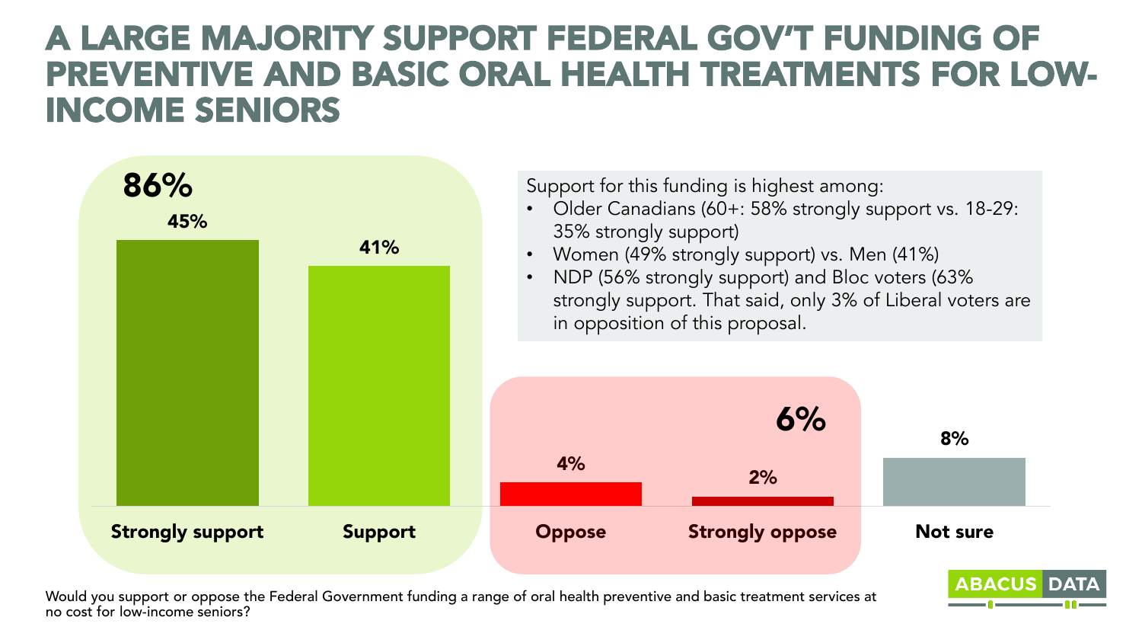### A LARGE MAJORITY SUPPORT FEDERAL GOV'T FUNDING OF PREVENTIVE AND BASIC ORAL HEALTH TREATMENTS FOR LOW-INCOME SENIORS



Would you support or oppose the Federal Government funding a range of oral health preventive and basic treatment services at no cost for low-income seniors?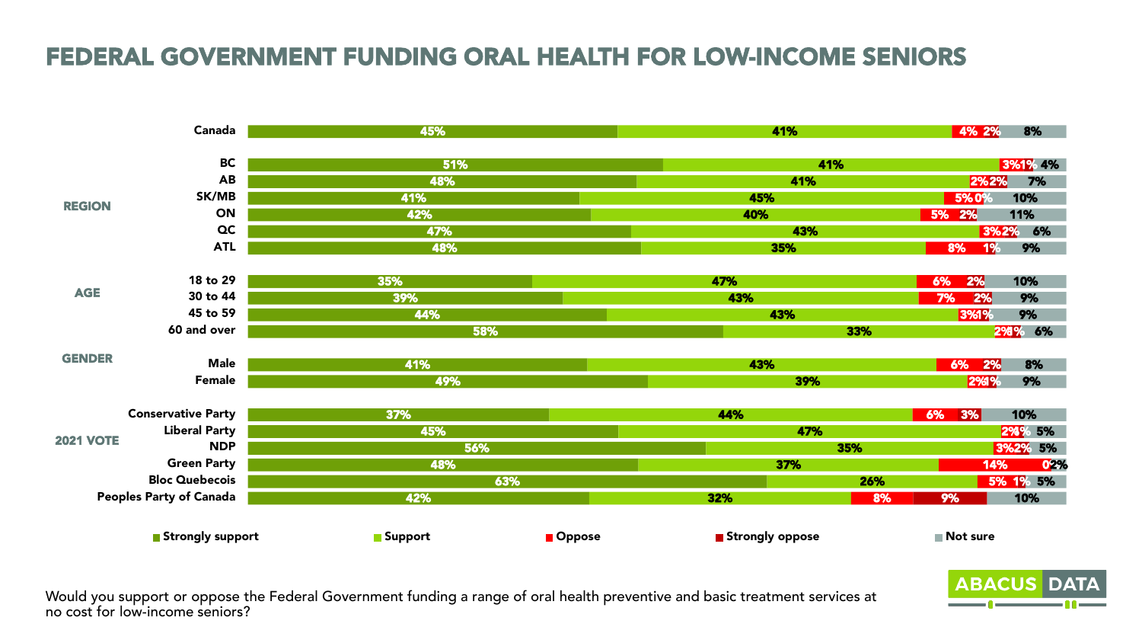### FEDERAL GOVERNMENT FUNDING ORAL HEALTH FOR LOW-INCOME SENIORS



Would you support or oppose the Federal Government funding a range of oral health preventive and basic treatment services at no cost for low-income seniors?

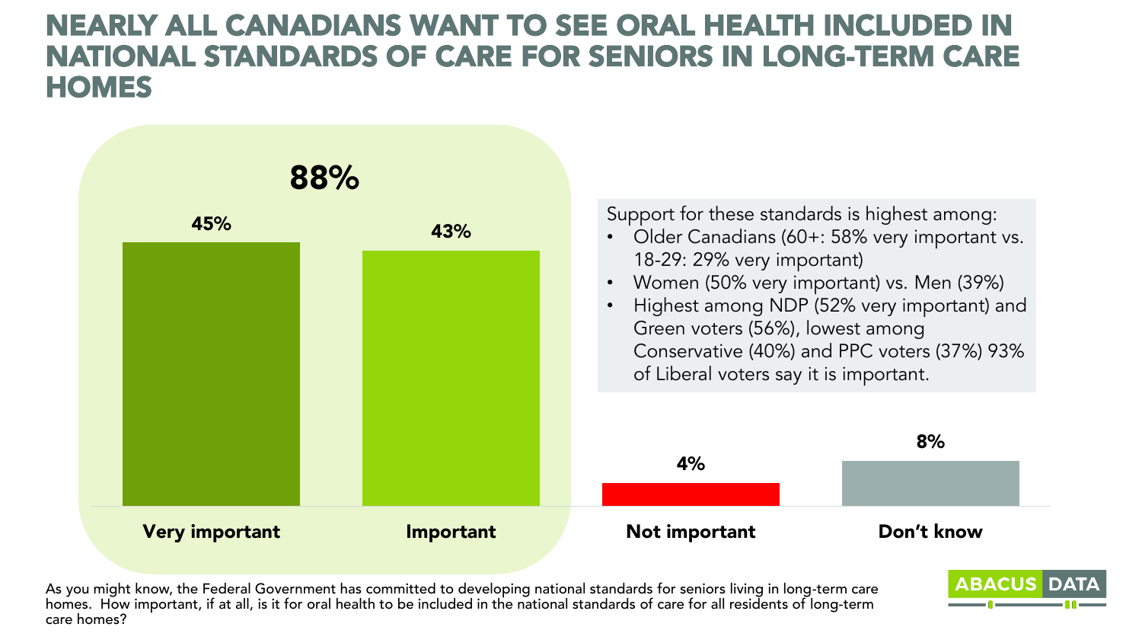### NEARLY ALL CANADIANS WANT TO SEE ORAL HEALTH INCLUDED IN NATIONAL STANDARDS OF CARE FOR SENIORS IN LONG-TERM CARE **HOMES**



As you might know, the Federal Government has committed to developing national standards for seniors living in long-term care homes. How important, if at all, is it for oral health to be included in the national standards of care for all residents of long-term care homes?